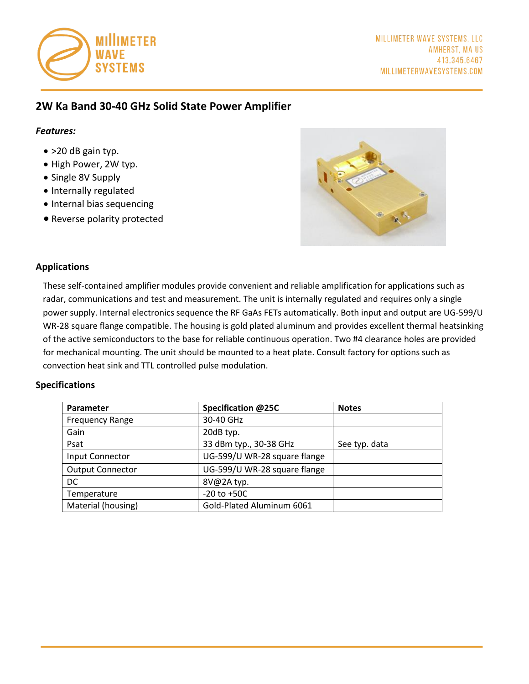

# **2W Ka Band 30-40 GHz Solid State Power Amplifier**

#### *Features:*

- > 20 dB gain typ.
- High Power, 2W typ.
- Single 8V Supply
- Internally regulated
- Internal bias sequencing
- Reverse polarity protected



### **Applications**

These self-contained amplifier modules provide convenient and reliable amplification for applications such as radar, communications and test and measurement. The unit is internally regulated and requires only a single power supply. Internal electronics sequence the RF GaAs FETs automatically. Both input and output are UG-599/U WR-28 square flange compatible. The housing is gold plated aluminum and provides excellent thermal heatsinking of the active semiconductors to the base for reliable continuous operation. Two #4 clearance holes are provided for mechanical mounting. The unit should be mounted to a heat plate. Consult factory for options such as convection heat sink and TTL controlled pulse modulation.

### **Specifications**

| Parameter               | Specification @25C           | <b>Notes</b>  |
|-------------------------|------------------------------|---------------|
| <b>Frequency Range</b>  | 30-40 GHz                    |               |
| Gain                    | 20dB typ.                    |               |
| Psat                    | 33 dBm typ., 30-38 GHz       | See typ. data |
| Input Connector         | UG-599/U WR-28 square flange |               |
| <b>Output Connector</b> | UG-599/U WR-28 square flange |               |
| DC.                     | 8V@2A typ.                   |               |
| Temperature             | $-20$ to $+50C$              |               |
| Material (housing)      | Gold-Plated Aluminum 6061    |               |